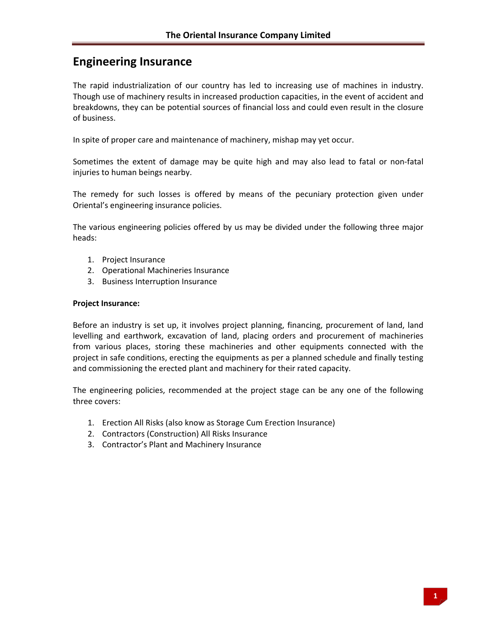# **Engineering Insurance**

The rapid industrialization of our country has led to increasing use of machines in industry. Though use of machinery results in increased production capacities, in the event of accident and breakdowns, they can be potential sources of financial loss and could even result in the closure of business.

In spite of proper care and maintenance of machinery, mishap may yet occur.

Sometimes the extent of damage may be quite high and may also lead to fatal or non‐fatal injuries to human beings nearby.

The remedy for such losses is offered by means of the pecuniary protection given under Oriental's engineering insurance policies.

The various engineering policies offered by us may be divided under the following three major heads:

- 1. Project Insurance
- 2. Operational Machineries Insurance
- 3. Business Interruption Insurance

#### **Project Insurance:**

Before an industry is set up, it involves project planning, financing, procurement of land, land levelling and earthwork, excavation of land, placing orders and procurement of machineries from various places, storing these machineries and other equipments connected with the project in safe conditions, erecting the equipments as per a planned schedule and finally testing and commissioning the erected plant and machinery for their rated capacity.

The engineering policies, recommended at the project stage can be any one of the following three covers:

- 1. Erection All Risks (also know as Storage Cum Erection Insurance)
- 2. Contractors (Construction) All Risks Insurance
- 3. Contractor's Plant and Machinery Insurance